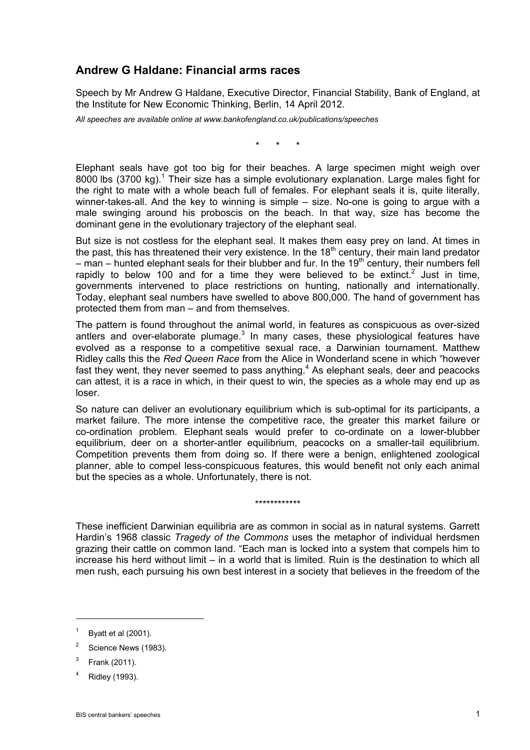## **Andrew G Haldane: Financial arms races**

Speech by Mr Andrew G Haldane, Executive Director, Financial Stability, Bank of England, at the Institute for New Economic Thinking, Berlin, 14 April 2012.

*All speeches are available online at www.bankofengland.co.uk/publications/speeches* 

\* \* \*

Elephant seals have got too big for their beaches. A large specimen might weigh over 8000 lbs  $(3700 \text{ kg})$ .<sup>1</sup> Their size has a simple evolutionary explanation. Large males fight for the right to mate with a whole beach full of females. For elephant seals it is, quite literally, winner-takes-all. And the key to winning is simple – size. No-one is going to argue with a male swinging around his proboscis on the beach. In that way, size has become the dominant gene in the evolutionary trajectory of the elephant seal.

But size is not costless for the elephant seal. It makes them easy prey on land. At times in the past, this has threatened their very existence. In the  $18<sup>th</sup>$  century, their main land predator – man – hunted elephant seals for their blubber and fur. In the 19<sup>th</sup> century, their numbers fell rapidly to below 100 and for a time they were believed to be extinct.<sup>2</sup> Just in time, governments intervened to place restrictions on hunting, nationally and internationally. Today, elephant seal numbers have swelled to above 800,000. The hand of government has protected them from man – and from themselves.

The pattern is found throughout the animal world, in features as conspicuous as over-sized antlers and over-elaborate plumage. $3$  In many cases, these physiological features have evolved as a response to a competitive sexual race, a Darwinian tournament. Matthew Ridley calls this the *Red Queen Race* from the Alice in Wonderland scene in which "however fast they went, they never seemed to pass anything. $4$  As elephant seals, deer and peacocks can attest, it is a race in which, in their quest to win, the species as a whole may end up as loser.

So nature can deliver an evolutionary equilibrium which is sub-optimal for its participants, a market failure. The more intense the competitive race, the greater this market failure or co-ordination problem. Elephant seals would prefer to co-ordinate on a lower-blubber equilibrium, deer on a shorter-antler equilibrium, peacocks on a smaller-tail equilibrium. Competition prevents them from doing so. If there were a benign, enlightened zoological planner, able to compel less-conspicuous features, this would benefit not only each animal but the species as a whole. Unfortunately, there is not.

These inefficient Darwinian equilibria are as common in social as in natural systems. Garrett Hardin's 1968 classic *Tragedy of the Commons* uses the metaphor of individual herdsmen grazing their cattle on common land. "Each man is locked into a system that compels him to increase his herd without limit – in a world that is limited. Ruin is the destination to which all men rush, each pursuing his own best interest in a society that believes in the freedom of the

\*\*\*\*\*\*\*\*\*\*\*\*

<sup>1</sup> Byatt et al (2001).

<sup>2</sup> Science News (1983).

<sup>3</sup> Frank (2011).

<sup>4</sup> Ridley (1993).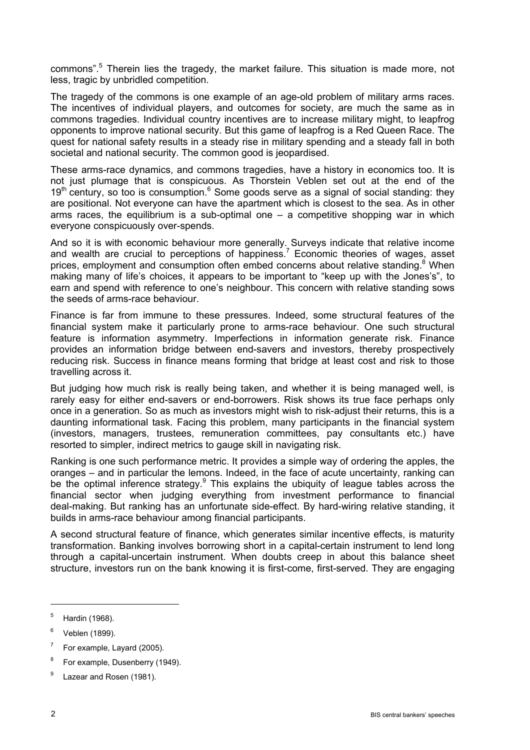commons".<sup>5</sup> Therein lies the tragedy, the market failure. This situation is made more, not less, tragic by unbridled competition.

The tragedy of the commons is one example of an age-old problem of military arms races. The incentives of individual players, and outcomes for society, are much the same as in commons tragedies. Individual country incentives are to increase military might, to leapfrog opponents to improve national security. But this game of leapfrog is a Red Queen Race. The quest for national safety results in a steady rise in military spending and a steady fall in both societal and national security. The common good is jeopardised.

These arms-race dynamics, and commons tragedies, have a history in economics too. It is not just plumage that is conspicuous. As Thorstein Veblen set out at the end of the  $19<sup>th</sup>$  century, so too is consumption.<sup>6</sup> Some goods serve as a signal of social standing: they are positional. Not everyone can have the apartment which is closest to the sea. As in other arms races, the equilibrium is a sub-optimal one  $-$  a competitive shopping war in which everyone conspicuously over-spends.

And so it is with economic behaviour more generally. Surveys indicate that relative income and wealth are crucial to perceptions of happiness.<sup>7</sup> Economic theories of wages, asset prices, employment and consumption often embed concerns about relative standing.<sup>8</sup> When making many of life's choices, it appears to be important to "keep up with the Jones's", to earn and spend with reference to one's neighbour. This concern with relative standing sows the seeds of arms-race behaviour.

Finance is far from immune to these pressures. Indeed, some structural features of the financial system make it particularly prone to arms-race behaviour. One such structural feature is information asymmetry. Imperfections in information generate risk. Finance provides an information bridge between end-savers and investors, thereby prospectively reducing risk. Success in finance means forming that bridge at least cost and risk to those travelling across it.

But judging how much risk is really being taken, and whether it is being managed well, is rarely easy for either end-savers or end-borrowers. Risk shows its true face perhaps only once in a generation. So as much as investors might wish to risk-adjust their returns, this is a daunting informational task. Facing this problem, many participants in the financial system (investors, managers, trustees, remuneration committees, pay consultants etc.) have resorted to simpler, indirect metrics to gauge skill in navigating risk.

Ranking is one such performance metric. It provides a simple way of ordering the apples, the oranges – and in particular the lemons. Indeed, in the face of acute uncertainty, ranking can be the optimal inference strategy.<sup>9</sup> This explains the ubiquity of league tables across the financial sector when judging everything from investment performance to financial deal-making. But ranking has an unfortunate side-effect. By hard-wiring relative standing, it builds in arms-race behaviour among financial participants.

A second structural feature of finance, which generates similar incentive effects, is maturity transformation. Banking involves borrowing short in a capital-certain instrument to lend long through a capital-uncertain instrument. When doubts creep in about this balance sheet structure, investors run on the bank knowing it is first-come, first-served. They are engaging

<sup>5</sup> Hardin (1968).

<sup>6</sup> Veblen (1899).

<sup>7</sup> For example, Layard (2005).

<sup>8</sup> For example, Dusenberry (1949).

<sup>9</sup> Lazear and Rosen (1981).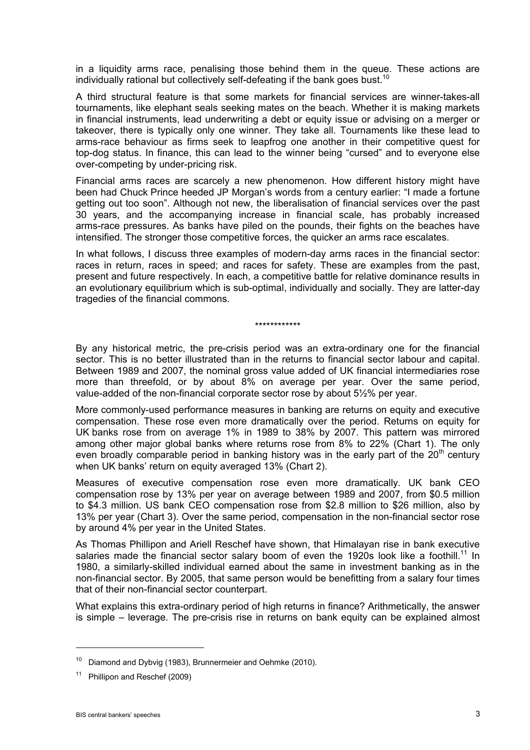in a liquidity arms race, penalising those behind them in the queue. These actions are individually rational but collectively self-defeating if the bank goes bust.<sup>10</sup>

A third structural feature is that some markets for financial services are winner-takes-all tournaments, like elephant seals seeking mates on the beach. Whether it is making markets in financial instruments, lead underwriting a debt or equity issue or advising on a merger or takeover, there is typically only one winner. They take all. Tournaments like these lead to arms-race behaviour as firms seek to leapfrog one another in their competitive quest for top-dog status. In finance, this can lead to the winner being "cursed" and to everyone else over-competing by under-pricing risk.

Financial arms races are scarcely a new phenomenon. How different history might have been had Chuck Prince heeded JP Morgan's words from a century earlier: "I made a fortune getting out too soon". Although not new, the liberalisation of financial services over the past 30 years, and the accompanying increase in financial scale, has probably increased arms-race pressures. As banks have piled on the pounds, their fights on the beaches have intensified. The stronger those competitive forces, the quicker an arms race escalates.

In what follows, I discuss three examples of modern-day arms races in the financial sector: races in return, races in speed; and races for safety. These are examples from the past, present and future respectively. In each, a competitive battle for relative dominance results in an evolutionary equilibrium which is sub-optimal, individually and socially. They are latter-day tragedies of the financial commons.

#### \*\*\*\*\*\*\*\*\*\*\*\*

By any historical metric, the pre-crisis period was an extra-ordinary one for the financial sector. This is no better illustrated than in the returns to financial sector labour and capital. Between 1989 and 2007, the nominal gross value added of UK financial intermediaries rose more than threefold, or by about 8% on average per year. Over the same period, value-added of the non-financial corporate sector rose by about 5½% per year.

More commonly-used performance measures in banking are returns on equity and executive compensation. These rose even more dramatically over the period. Returns on equity for UK banks rose from on average 1% in 1989 to 38% by 2007. This pattern was mirrored among other major global banks where returns rose from 8% to 22% (Chart 1). The only even broadly comparable period in banking history was in the early part of the 20<sup>th</sup> century when UK banks' return on equity averaged 13% (Chart 2).

Measures of executive compensation rose even more dramatically. UK bank CEO compensation rose by 13% per year on average between 1989 and 2007, from \$0.5 million to \$4.3 million. US bank CEO compensation rose from \$2.8 million to \$26 million, also by 13% per year (Chart 3). Over the same period, compensation in the non-financial sector rose by around 4% per year in the United States.

As Thomas Phillipon and Ariell Reschef have shown, that Himalayan rise in bank executive salaries made the financial sector salary boom of even the 1920s look like a foothill.<sup>11</sup> In 1980, a similarly-skilled individual earned about the same in investment banking as in the non-financial sector. By 2005, that same person would be benefitting from a salary four times that of their non-financial sector counterpart.

What explains this extra-ordinary period of high returns in finance? Arithmetically, the answer is simple – leverage. The pre-crisis rise in returns on bank equity can be explained almost

<sup>&</sup>lt;sup>10</sup> Diamond and Dybvig (1983), Brunnermeier and Oehmke (2010).

Phillipon and Reschef (2009)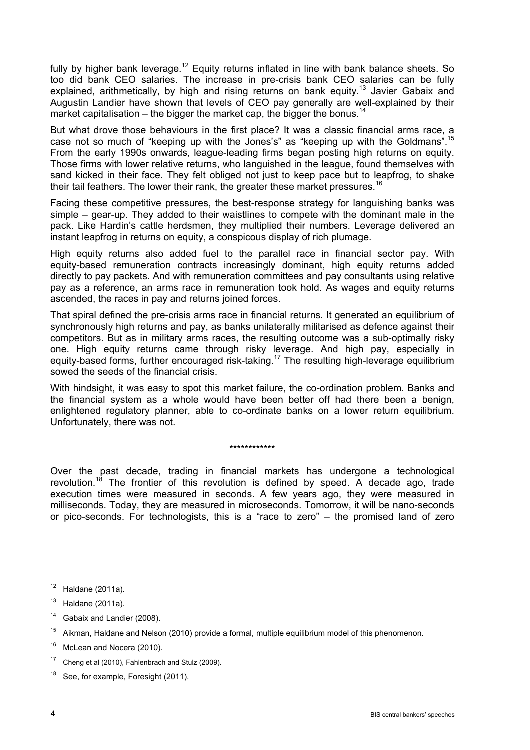fully by higher bank leverage.<sup>12</sup> Equity returns inflated in line with bank balance sheets. So too did bank CEO salaries. The increase in pre-crisis bank CEO salaries can be fully explained, arithmetically, by high and rising returns on bank equity.<sup>13</sup> Javier Gabaix and Augustin Landier have shown that levels of CEO pay generally are well-explained by their market capitalisation – the bigger the market cap, the bigger the bonus.<sup>14</sup>

But what drove those behaviours in the first place? It was a classic financial arms race, a case not so much of "keeping up with the Jones's" as "keeping up with the Goldmans".15 From the early 1990s onwards, league-leading firms began posting high returns on equity. Those firms with lower relative returns, who languished in the league, found themselves with sand kicked in their face. They felt obliged not just to keep pace but to leapfrog, to shake their tail feathers. The lower their rank, the greater these market pressures.<sup>16</sup>

Facing these competitive pressures, the best-response strategy for languishing banks was simple – gear-up. They added to their waistlines to compete with the dominant male in the pack. Like Hardin's cattle herdsmen, they multiplied their numbers. Leverage delivered an instant leapfrog in returns on equity, a conspicous display of rich plumage.

High equity returns also added fuel to the parallel race in financial sector pay. With equity-based remuneration contracts increasingly dominant, high equity returns added directly to pay packets. And with remuneration committees and pay consultants using relative pay as a reference, an arms race in remuneration took hold. As wages and equity returns ascended, the races in pay and returns joined forces.

That spiral defined the pre-crisis arms race in financial returns. It generated an equilibrium of synchronously high returns and pay, as banks unilaterally militarised as defence against their competitors. But as in military arms races, the resulting outcome was a sub-optimally risky one. High equity returns came through risky leverage. And high pay, especially in equity-based forms, further encouraged risk-taking.<sup>17</sup> The resulting high-leverage equilibrium sowed the seeds of the financial crisis.

With hindsight, it was easy to spot this market failure, the co-ordination problem. Banks and the financial system as a whole would have been better off had there been a benign, enlightened regulatory planner, able to co-ordinate banks on a lower return equilibrium. Unfortunately, there was not.

\*\*\*\*\*\*\*\*\*\*\*\*

Over the past decade, trading in financial markets has undergone a technological revolution.<sup>18</sup> The frontier of this revolution is defined by speed. A decade ago, trade execution times were measured in seconds. A few years ago, they were measured in milliseconds. Today, they are measured in microseconds. Tomorrow, it will be nano-seconds or pico-seconds. For technologists, this is a "race to zero" – the promised land of zero

 $12$  Haldane (2011a).

 $13$  Haldane (2011a).

<sup>&</sup>lt;sup>14</sup> Gabaix and Landier (2008).

<sup>&</sup>lt;sup>15</sup> Aikman, Haldane and Nelson (2010) provide a formal, multiple equilibrium model of this phenomenon.

<sup>&</sup>lt;sup>16</sup> McLean and Nocera (2010).

<sup>&</sup>lt;sup>17</sup> Cheng et al (2010), Fahlenbrach and Stulz (2009).

<sup>&</sup>lt;sup>18</sup> See, for example, Foresight (2011).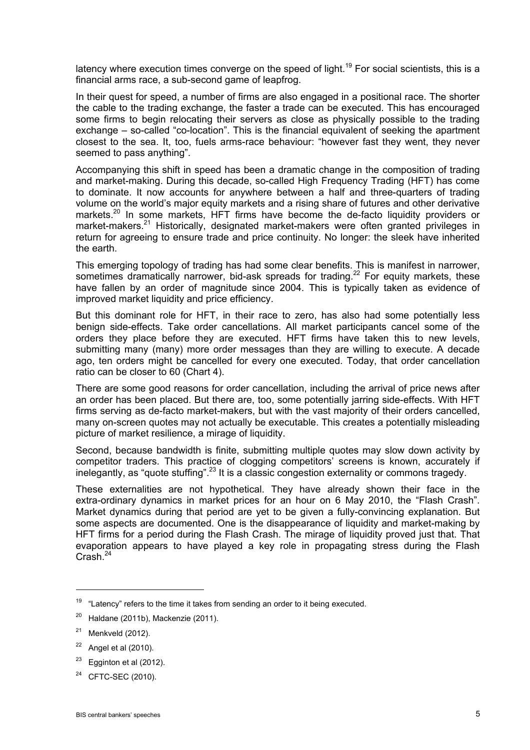latency where execution times converge on the speed of light.<sup>19</sup> For social scientists, this is a financial arms race, a sub-second game of leapfrog.

In their quest for speed, a number of firms are also engaged in a positional race. The shorter the cable to the trading exchange, the faster a trade can be executed. This has encouraged some firms to begin relocating their servers as close as physically possible to the trading exchange – so-called "co-location". This is the financial equivalent of seeking the apartment closest to the sea. It, too, fuels arms-race behaviour: "however fast they went, they never seemed to pass anything".

Accompanying this shift in speed has been a dramatic change in the composition of trading and market-making. During this decade, so-called High Frequency Trading (HFT) has come to dominate. It now accounts for anywhere between a half and three-quarters of trading volume on the world's major equity markets and a rising share of futures and other derivative markets.<sup>20</sup> In some markets, HFT firms have become the de-facto liquidity providers or market-makers.<sup>21</sup> Historically, designated market-makers were often granted privileges in return for agreeing to ensure trade and price continuity. No longer: the sleek have inherited the earth.

This emerging topology of trading has had some clear benefits. This is manifest in narrower, sometimes dramatically narrower, bid-ask spreads for trading.<sup>22</sup> For equity markets, these have fallen by an order of magnitude since 2004. This is typically taken as evidence of improved market liquidity and price efficiency.

But this dominant role for HFT, in their race to zero, has also had some potentially less benign side-effects. Take order cancellations. All market participants cancel some of the orders they place before they are executed. HFT firms have taken this to new levels, submitting many (many) more order messages than they are willing to execute. A decade ago, ten orders might be cancelled for every one executed. Today, that order cancellation ratio can be closer to 60 (Chart 4).

There are some good reasons for order cancellation, including the arrival of price news after an order has been placed. But there are, too, some potentially jarring side-effects. With HFT firms serving as de-facto market-makers, but with the vast majority of their orders cancelled, many on-screen quotes may not actually be executable. This creates a potentially misleading picture of market resilience, a mirage of liquidity.

Second, because bandwidth is finite, submitting multiple quotes may slow down activity by competitor traders. This practice of clogging competitors' screens is known, accurately if inelegantly, as "quote stuffing".<sup>23</sup> It is a classic congestion externality or commons tragedy.

These externalities are not hypothetical. They have already shown their face in the extra-ordinary dynamics in market prices for an hour on 6 May 2010, the "Flash Crash". Market dynamics during that period are yet to be given a fully-convincing explanation. But some aspects are documented. One is the disappearance of liquidity and market-making by HFT firms for a period during the Flash Crash. The mirage of liquidity proved just that. That evaporation appears to have played a key role in propagating stress during the Flash Crash.24

 $\overline{a}$ 

 $19$  "Latency" refers to the time it takes from sending an order to it being executed.

 $20$  Haldane (2011b), Mackenzie (2011).

 $21$  Menkveld (2012).

 $22$  Angel et al (2010).

 $23$  Egginton et al (2012).

CFTC-SEC (2010).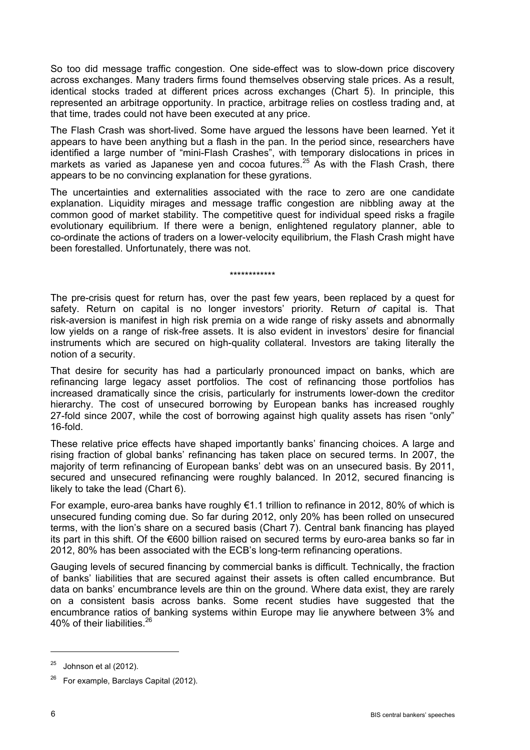So too did message traffic congestion. One side-effect was to slow-down price discovery across exchanges. Many traders firms found themselves observing stale prices. As a result, identical stocks traded at different prices across exchanges (Chart 5). In principle, this represented an arbitrage opportunity. In practice, arbitrage relies on costless trading and, at that time, trades could not have been executed at any price.

The Flash Crash was short-lived. Some have argued the lessons have been learned. Yet it appears to have been anything but a flash in the pan. In the period since, researchers have identified a large number of "mini-Flash Crashes", with temporary dislocations in prices in markets as varied as Japanese yen and cocoa futures.<sup>25</sup> As with the Flash Crash, there appears to be no convincing explanation for these gyrations.

The uncertainties and externalities associated with the race to zero are one candidate explanation. Liquidity mirages and message traffic congestion are nibbling away at the common good of market stability. The competitive quest for individual speed risks a fragile evolutionary equilibrium. If there were a benign, enlightened regulatory planner, able to co-ordinate the actions of traders on a lower-velocity equilibrium, the Flash Crash might have been forestalled. Unfortunately, there was not.

\*\*\*\*\*\*\*\*\*\*\*\*

The pre-crisis quest for return has, over the past few years, been replaced by a quest for safety. Return on capital is no longer investors' priority. Return *of* capital is. That risk-aversion is manifest in high risk premia on a wide range of risky assets and abnormally low yields on a range of risk-free assets. It is also evident in investors' desire for financial instruments which are secured on high-quality collateral. Investors are taking literally the notion of a security.

That desire for security has had a particularly pronounced impact on banks, which are refinancing large legacy asset portfolios. The cost of refinancing those portfolios has increased dramatically since the crisis, particularly for instruments lower-down the creditor hierarchy. The cost of unsecured borrowing by European banks has increased roughly 27-fold since 2007, while the cost of borrowing against high quality assets has risen "only" 16-fold.

These relative price effects have shaped importantly banks' financing choices. A large and rising fraction of global banks' refinancing has taken place on secured terms. In 2007, the majority of term refinancing of European banks' debt was on an unsecured basis. By 2011, secured and unsecured refinancing were roughly balanced. In 2012, secured financing is likely to take the lead (Chart 6).

For example, euro-area banks have roughly €1.1 trillion to refinance in 2012, 80% of which is unsecured funding coming due. So far during 2012, only 20% has been rolled on unsecured terms, with the lion's share on a secured basis (Chart 7). Central bank financing has played its part in this shift. Of the €600 billion raised on secured terms by euro-area banks so far in 2012, 80% has been associated with the ECB's long-term refinancing operations.

Gauging levels of secured financing by commercial banks is difficult. Technically, the fraction of banks' liabilities that are secured against their assets is often called encumbrance. But data on banks' encumbrance levels are thin on the ground. Where data exist, they are rarely on a consistent basis across banks. Some recent studies have suggested that the encumbrance ratios of banking systems within Europe may lie anywhere between 3% and 40% of their liabilities.26

 $\overline{a}$ 

 $25$  Johnson et al (2012).

 $26$  For example, Barclays Capital (2012).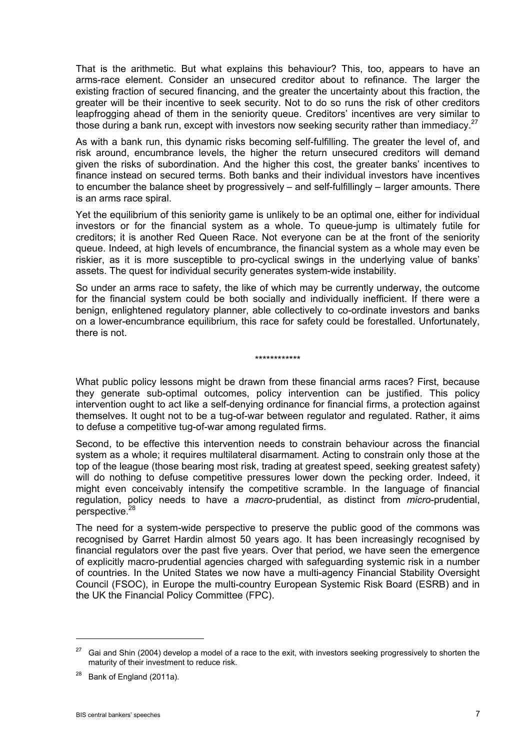That is the arithmetic. But what explains this behaviour? This, too, appears to have an arms-race element. Consider an unsecured creditor about to refinance. The larger the existing fraction of secured financing, and the greater the uncertainty about this fraction, the greater will be their incentive to seek security. Not to do so runs the risk of other creditors leapfrogging ahead of them in the seniority queue. Creditors' incentives are very similar to those during a bank run, except with investors now seeking security rather than immediacy. $27$ 

As with a bank run, this dynamic risks becoming self-fulfilling. The greater the level of, and risk around, encumbrance levels, the higher the return unsecured creditors will demand given the risks of subordination. And the higher this cost, the greater banks' incentives to finance instead on secured terms. Both banks and their individual investors have incentives to encumber the balance sheet by progressively – and self-fulfillingly – larger amounts. There is an arms race spiral.

Yet the equilibrium of this seniority game is unlikely to be an optimal one, either for individual investors or for the financial system as a whole. To queue-jump is ultimately futile for creditors; it is another Red Queen Race. Not everyone can be at the front of the seniority queue. Indeed, at high levels of encumbrance, the financial system as a whole may even be riskier, as it is more susceptible to pro-cyclical swings in the underlying value of banks' assets. The quest for individual security generates system-wide instability.

So under an arms race to safety, the like of which may be currently underway, the outcome for the financial system could be both socially and individually inefficient. If there were a benign, enlightened regulatory planner, able collectively to co-ordinate investors and banks on a lower-encumbrance equilibrium, this race for safety could be forestalled. Unfortunately, there is not.

### \*\*\*\*\*\*\*\*\*\*\*\*

What public policy lessons might be drawn from these financial arms races? First, because they generate sub-optimal outcomes, policy intervention can be justified. This policy intervention ought to act like a self-denying ordinance for financial firms, a protection against themselves. It ought not to be a tug-of-war between regulator and regulated. Rather, it aims to defuse a competitive tug-of-war among regulated firms.

Second, to be effective this intervention needs to constrain behaviour across the financial system as a whole; it requires multilateral disarmament. Acting to constrain only those at the top of the league (those bearing most risk, trading at greatest speed, seeking greatest safety) will do nothing to defuse competitive pressures lower down the pecking order. Indeed, it might even conceivably intensify the competitive scramble. In the language of financial regulation, policy needs to have a *macro*-prudential, as distinct from *micro*-prudential, perspective.<sup>2</sup>

The need for a system-wide perspective to preserve the public good of the commons was recognised by Garret Hardin almost 50 years ago. It has been increasingly recognised by financial regulators over the past five years. Over that period, we have seen the emergence of explicitly macro-prudential agencies charged with safeguarding systemic risk in a number of countries. In the United States we now have a multi-agency Financial Stability Oversight Council (FSOC), in Europe the multi-country European Systemic Risk Board (ESRB) and in the UK the Financial Policy Committee (FPC).

 $\overline{a}$ 

<sup>27</sup> Gai and Shin (2004) develop a model of a race to the exit, with investors seeking progressively to shorten the maturity of their investment to reduce risk.

<sup>&</sup>lt;sup>28</sup> Bank of England (2011a).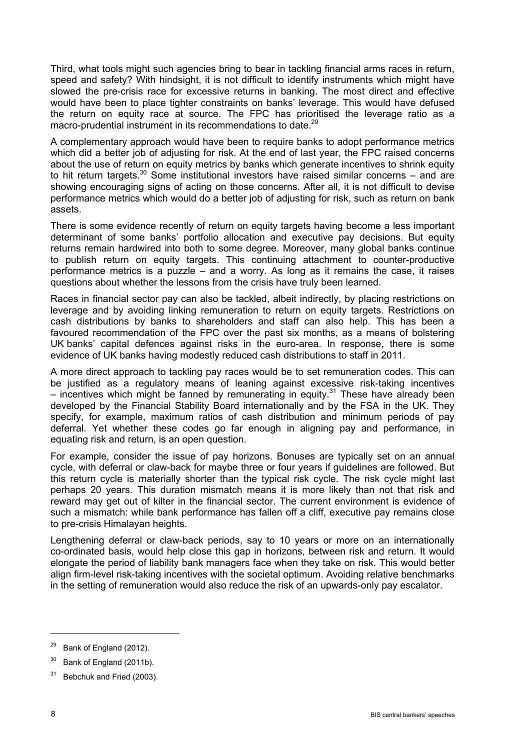Third, what tools might such agencies bring to bear in tackling financial arms races in return, speed and safety? With hindsight, it is not difficult to identify instruments which might have slowed the pre-crisis race for excessive returns in banking. The most direct and effective would have been to place tighter constraints on banks' leverage. This would have defused the return on equity race at source. The FPC has prioritised the leverage ratio as a macro-prudential instrument in its recommendations to date.<sup>29</sup>

A complementary approach would have been to require banks to adopt performance metrics which did a better job of adjusting for risk. At the end of last year, the FPC raised concerns about the use of return on equity metrics by banks which generate incentives to shrink equity to hit return targets.<sup>30</sup> Some institutional investors have raised similar concerns – and are showing encouraging signs of acting on those concerns. After all, it is not difficult to devise performance metrics which would do a better job of adjusting for risk, such as return on bank assets.

There is some evidence recently of return on equity targets having become a less important determinant of some banks' portfolio allocation and executive pay decisions. But equity returns remain hardwired into both to some degree. Moreover, many global banks continue to publish return on equity targets. This continuing attachment to counter-productive performance metrics is a puzzle – and a worry. As long as it remains the case, it raises questions about whether the lessons from the crisis have truly been learned.

Races in financial sector pay can also be tackled, albeit indirectly, by placing restrictions on leverage and by avoiding linking remuneration to return on equity targets. Restrictions on cash distributions by banks to shareholders and staff can also help. This has been a favoured recommendation of the FPC over the past six months, as a means of bolstering UK banks' capital defences against risks in the euro-area. In response, there is some evidence of UK banks having modestly reduced cash distributions to staff in 2011.

A more direct approach to tackling pay races would be to set remuneration codes. This can be justified as a regulatory means of leaning against excessive risk-taking incentives – incentives which might be fanned by remunerating in equity.<sup>31</sup> These have already been developed by the Financial Stability Board internationally and by the FSA in the UK. They specify, for example, maximum ratios of cash distribution and minimum periods of pay deferral. Yet whether these codes go far enough in aligning pay and performance, in equating risk and return, is an open question.

For example, consider the issue of pay horizons. Bonuses are typically set on an annual cycle, with deferral or claw-back for maybe three or four years if guidelines are followed. But this return cycle is materially shorter than the typical risk cycle. The risk cycle might last perhaps 20 years. This duration mismatch means it is more likely than not that risk and reward may get out of kilter in the financial sector. The current environment is evidence of such a mismatch: while bank performance has fallen off a cliff, executive pay remains close to pre-crisis Himalayan heights.

Lengthening deferral or claw-back periods, say to 10 years or more on an internationally co-ordinated basis, would help close this gap in horizons, between risk and return. It would elongate the period of liability bank managers face when they take on risk. This would better align firm-level risk-taking incentives with the societal optimum. Avoiding relative benchmarks in the setting of remuneration would also reduce the risk of an upwards-only pay escalator.

 $29$  Bank of England (2012).

<sup>&</sup>lt;sup>30</sup> Bank of England (2011b).

 $31$  Bebchuk and Fried (2003).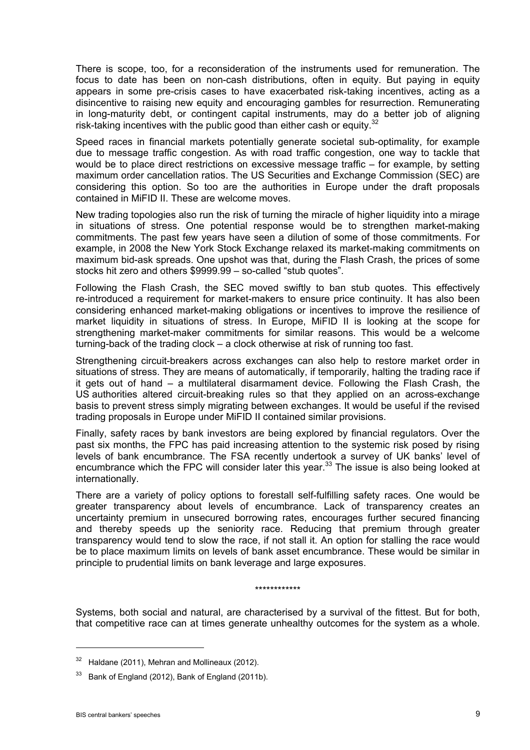There is scope, too, for a reconsideration of the instruments used for remuneration. The focus to date has been on non-cash distributions, often in equity. But paying in equity appears in some pre-crisis cases to have exacerbated risk-taking incentives, acting as a disincentive to raising new equity and encouraging gambles for resurrection. Remunerating in long-maturity debt, or contingent capital instruments, may do a better job of aligning risk-taking incentives with the public good than either cash or equity.<sup>32</sup>

Speed races in financial markets potentially generate societal sub-optimality, for example due to message traffic congestion. As with road traffic congestion, one way to tackle that would be to place direct restrictions on excessive message traffic – for example, by setting maximum order cancellation ratios. The US Securities and Exchange Commission (SEC) are considering this option. So too are the authorities in Europe under the draft proposals contained in MiFID II. These are welcome moves.

New trading topologies also run the risk of turning the miracle of higher liquidity into a mirage in situations of stress. One potential response would be to strengthen market-making commitments. The past few years have seen a dilution of some of those commitments. For example, in 2008 the New York Stock Exchange relaxed its market-making commitments on maximum bid-ask spreads. One upshot was that, during the Flash Crash, the prices of some stocks hit zero and others \$9999.99 – so-called "stub quotes".

Following the Flash Crash, the SEC moved swiftly to ban stub quotes. This effectively re-introduced a requirement for market-makers to ensure price continuity. It has also been considering enhanced market-making obligations or incentives to improve the resilience of market liquidity in situations of stress. In Europe, MiFID II is looking at the scope for strengthening market-maker commitments for similar reasons. This would be a welcome turning-back of the trading clock – a clock otherwise at risk of running too fast.

Strengthening circuit-breakers across exchanges can also help to restore market order in situations of stress. They are means of automatically, if temporarily, halting the trading race if it gets out of hand – a multilateral disarmament device. Following the Flash Crash, the US authorities altered circuit-breaking rules so that they applied on an across-exchange basis to prevent stress simply migrating between exchanges. It would be useful if the revised trading proposals in Europe under MiFID II contained similar provisions.

Finally, safety races by bank investors are being explored by financial regulators. Over the past six months, the FPC has paid increasing attention to the systemic risk posed by rising levels of bank encumbrance. The FSA recently undertook a survey of UK banks' level of encumbrance which the FPC will consider later this year.<sup>33</sup> The issue is also being looked at internationally.

There are a variety of policy options to forestall self-fulfilling safety races. One would be greater transparency about levels of encumbrance. Lack of transparency creates an uncertainty premium in unsecured borrowing rates, encourages further secured financing and thereby speeds up the seniority race. Reducing that premium through greater transparency would tend to slow the race, if not stall it. An option for stalling the race would be to place maximum limits on levels of bank asset encumbrance. These would be similar in principle to prudential limits on bank leverage and large exposures.

#### \*\*\*\*\*\*\*\*\*\*\*\*

Systems, both social and natural, are characterised by a survival of the fittest. But for both, that competitive race can at times generate unhealthy outcomes for the system as a whole.

 $32$  Haldane (2011), Mehran and Mollineaux (2012).

Bank of England (2012), Bank of England (2011b).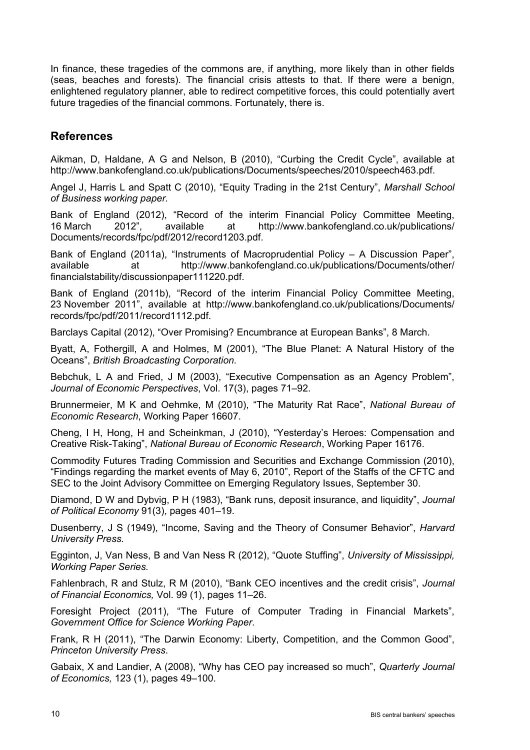In finance, these tragedies of the commons are, if anything, more likely than in other fields (seas, beaches and forests). The financial crisis attests to that. If there were a benign, enlightened regulatory planner, able to redirect competitive forces, this could potentially avert future tragedies of the financial commons. Fortunately, there is.

## **References**

Aikman, D, Haldane, A G and Nelson, B (2010), "Curbing the Credit Cycle", available at http://www.bankofengland.co.uk/publications/Documents/speeches/2010/speech463.pdf.

Angel J, Harris L and Spatt C (2010), "Equity Trading in the 21st Century", *Marshall School of Business working paper.*

Bank of England (2012), "Record of the interim Financial Policy Committee Meeting, 16 March 2012", available at http://www.bankofengland.co.uk/publications/ Documents/records/fpc/pdf/2012/record1203.pdf.

Bank of England (2011a), "Instruments of Macroprudential Policy – A Discussion Paper", available at http://www.bankofengland.co.uk/publications/Documents/other/ financialstability/discussionpaper111220.pdf.

Bank of England (2011b), "Record of the interim Financial Policy Committee Meeting, 23 November 2011", available at http://www.bankofengland.co.uk/publications/Documents/ records/fpc/pdf/2011/record1112.pdf.

Barclays Capital (2012), "Over Promising? Encumbrance at European Banks", 8 March.

Byatt, A, Fothergill, A and Holmes, M (2001), "The Blue Planet: A Natural History of the Oceans", *British Broadcasting Corporation.*

Bebchuk, L A and Fried, J M (2003), "Executive Compensation as an Agency Problem", *Journal of Economic Perspectives*, Vol. 17(3), pages 71–92.

Brunnermeier, M K and Oehmke, M (2010), "The Maturity Rat Race", *National Bureau of Economic Research*, Working Paper 16607.

Cheng, I H, Hong, H and Scheinkman, J (2010), "Yesterday's Heroes: Compensation and Creative Risk-Taking", *National Bureau of Economic Research*, Working Paper 16176.

Commodity Futures Trading Commission and Securities and Exchange Commission (2010), "Findings regarding the market events of May 6, 2010", Report of the Staffs of the CFTC and SEC to the Joint Advisory Committee on Emerging Regulatory Issues, September 30.

Diamond, D W and Dybvig, P H (1983), "Bank runs, deposit insurance, and liquidity", *Journal of Political Economy* 91(3), pages 401–19.

Dusenberry, J S (1949), "Income, Saving and the Theory of Consumer Behavior", *Harvard University Press.*

Egginton, J, Van Ness, B and Van Ness R (2012), "Quote Stuffing", *University of Mississippi, Working Paper Series.* 

Fahlenbrach, R and Stulz, R M (2010), "Bank CEO incentives and the credit crisis", *Journal of Financial Economics,* Vol. 99 (1), pages 11–26.

Foresight Project (2011), "The Future of Computer Trading in Financial Markets", *Government Office for Science Working Paper*.

Frank, R H (2011), "The Darwin Economy: Liberty, Competition, and the Common Good", *Princeton University Press*.

Gabaix, X and Landier, A (2008), "Why has CEO pay increased so much", *Quarterly Journal of Economics,* 123 (1), pages 49–100.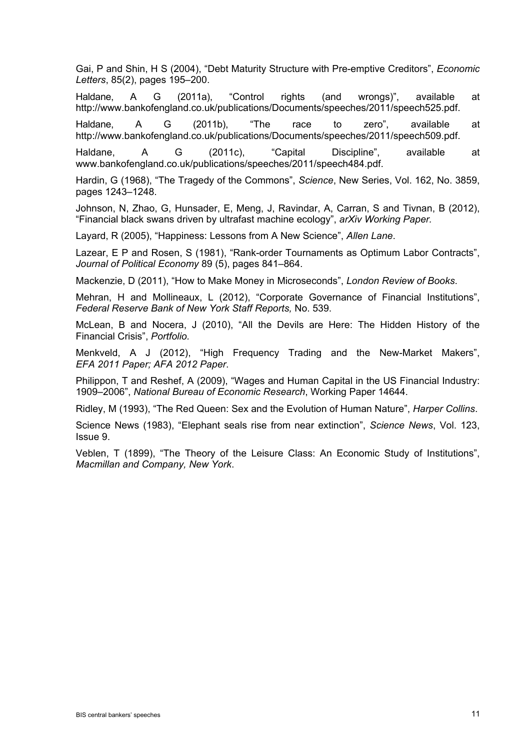Gai, P and Shin, H S (2004), "Debt Maturity Structure with Pre-emptive Creditors", *Economic Letters*, 85(2), pages 195–200.

Haldane, A G (2011a), "Control rights (and wrongs)", available at http://www.bankofengland.co.uk/publications/Documents/speeches/2011/speech525.pdf.

Haldane, A G (2011b), "The race to zero", available at http://www.bankofengland.co.uk/publications/Documents/speeches/2011/speech509.pdf.

Haldane, A G (2011c), "Capital Discipline", available at www.bankofengland.co.uk/publications/speeches/2011/speech484.pdf.

Hardin, G (1968), "The Tragedy of the Commons", *Science*, New Series, Vol. 162, No. 3859, pages 1243–1248.

Johnson, N, Zhao, G, Hunsader, E, Meng, J, Ravindar, A, Carran, S and Tivnan, B (2012), "Financial black swans driven by ultrafast machine ecology", *arXiv Working Paper.* 

Layard, R (2005), "Happiness: Lessons from A New Science", *Allen Lane*.

Lazear, E P and Rosen, S (1981), "Rank-order Tournaments as Optimum Labor Contracts", *Journal of Political Economy* 89 (5), pages 841–864.

Mackenzie, D (2011), "How to Make Money in Microseconds", *London Review of Books*.

Mehran, H and Mollineaux, L (2012), "Corporate Governance of Financial Institutions", *Federal Reserve Bank of New York Staff Reports,* No. 539.

McLean, B and Nocera, J (2010), "All the Devils are Here: The Hidden History of the Financial Crisis", *Portfolio.* 

Menkveld, A J (2012), "High Frequency Trading and the New-Market Makers", *EFA 2011 Paper; AFA 2012 Paper*.

Philippon, T and Reshef, A (2009), "Wages and Human Capital in the US Financial Industry: 1909–2006", *National Bureau of Economic Research*, Working Paper 14644.

Ridley, M (1993), "The Red Queen: Sex and the Evolution of Human Nature", *Harper Collins*.

Science News (1983), "Elephant seals rise from near extinction", *Science News*, Vol. 123, Issue 9.

Veblen, T (1899), "The Theory of the Leisure Class: An Economic Study of Institutions", *Macmillan and Company, New York*.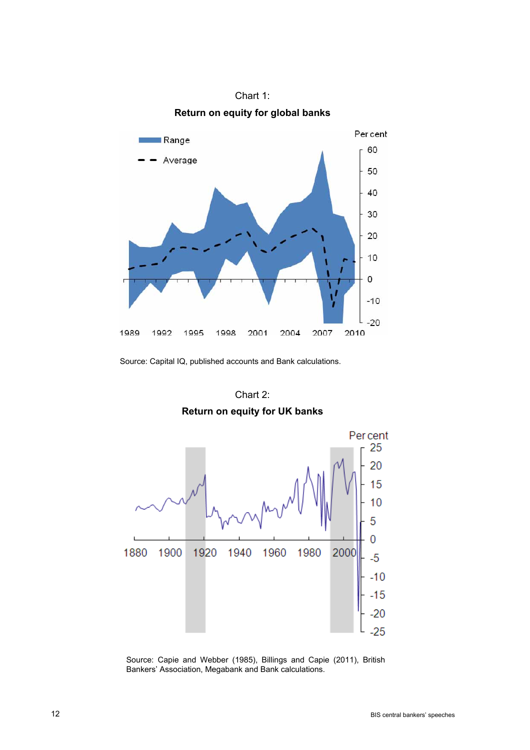

Chart 1: **Return on equity for global banks** 

Source: Capital IQ, published accounts and Bank calculations.

# Chart 2: **Return on equity for UK banks**



Source: Capie and Webber (1985), Billings and Capie (2011), British Bankers' Association, Megabank and Bank calculations.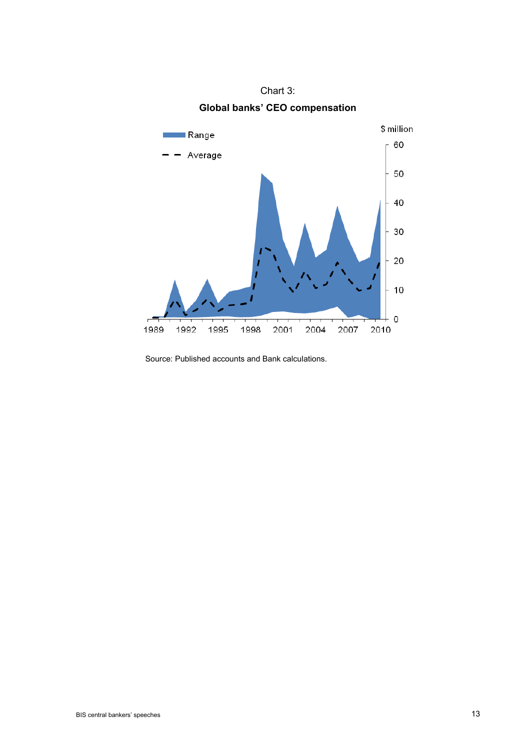

Chart 3: **Global banks' CEO compensation** 

Source: Published accounts and Bank calculations.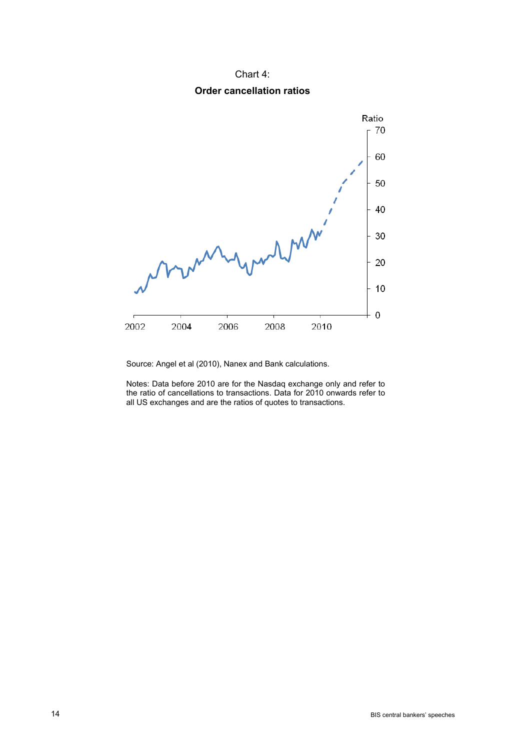### Chart 4:

### **Order cancellation ratios**



Source: Angel et al (2010), Nanex and Bank calculations.

Notes: Data before 2010 are for the Nasdaq exchange only and refer to the ratio of cancellations to transactions. Data for 2010 onwards refer to all US exchanges and are the ratios of quotes to transactions.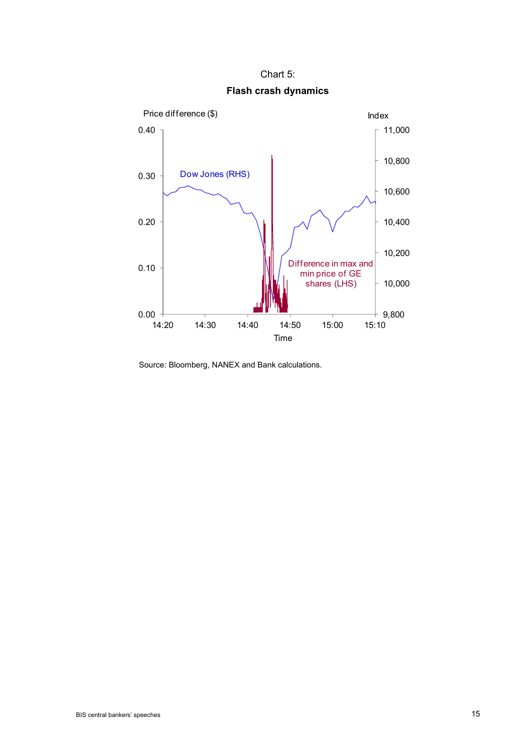Chart 5: **Flash crash dynamics** 



Source: Bloomberg, NANEX and Bank calculations.